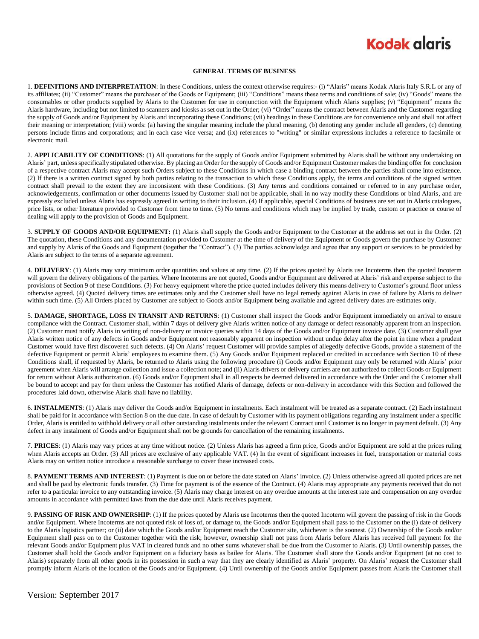### **Kodak alaris**

#### **GENERAL TERMS OF BUSINESS**

1. **DEFINITIONS AND INTERPRETATION**: In these Conditions, unless the context otherwise requires:- (i) "Alaris" means Kodak Alaris Italy S.R.L or any of its affiliates; (ii) "Customer" means the purchaser of the Goods or Equipment; (iii) "Conditions" means these terms and conditions of sale; (iv) "Goods" means the consumables or other products supplied by Alaris to the Customer for use in conjunction with the Equipment which Alaris supplies; (v) "Equipment" means the Alaris hardware, including but not limited to scanners and kiosks as set out in the Order; (vi) "Order" means the contract between Alaris and the Customer regarding the supply of Goods and/or Equipment by Alaris and incorporating these Conditions; (vii) headings in these Conditions are for convenience only and shall not affect their meaning or interpretation; (viii) words: (a) having the singular meaning include the plural meaning, (b) denoting any gender include all genders, (c) denoting persons include firms and corporations; and in each case vice versa; and (ix) references to "writing" or similar expressions includes a reference to facsimile or electronic mail.

2. **APPLICABILITY OF CONDITIONS**: (1) All quotations for the supply of Goods and/or Equipment submitted by Alaris shall be without any undertaking on Alaris' part, unless specifically stipulated otherwise. By placing an Order for the supply of Goods and/or Equipment Customer makes the binding offer for conclusion of a respective contract Alaris may accept such Orders subject to these Conditions in which case a binding contract between the parties shall come into existence. (2) If there is a written contract signed by both parties relating to the transaction to which these Conditions apply, the terms and conditions of the signed written contract shall prevail to the extent they are inconsistent with these Conditions. (3) Any terms and conditions contained or referred to in any purchase order, acknowledgements, confirmation or other documents issued by Customer shall not be applicable, shall in no way modify these Conditions or bind Alaris, and are expressly excluded unless Alaris has expressly agreed in writing to their inclusion. (4) If applicable, special Conditions of business are set out in Alaris catalogues, price lists, or other literature provided to Customer from time to time. (5) No terms and conditions which may be implied by trade, custom or practice or course of dealing will apply to the provision of Goods and Equipment.

3. **SUPPLY OF GOODS AND/OR EQUIPMENT:** (1) Alaris shall supply the Goods and/or Equipment to the Customer at the address set out in the Order. (2) The quotation, these Conditions and any documentation provided to Customer at the time of delivery of the Equipment or Goods govern the purchase by Customer and supply by Alaris of the Goods and Equipment (together the "Contract"). (3) The parties acknowledge and agree that any support or services to be provided by Alaris are subject to the terms of a separate agreement.

4. **DELIVERY**: (1) Alaris may vary minimum order quantities and values at any time. (2) If the prices quoted by Alaris use Incoterms then the quoted Incoterm will govern the delivery obligations of the parties. Where Incoterms are not quoted, Goods and/or Equipment are delivered at Alaris' risk and expense subject to the provisions of Section 9 of these Conditions. (3) For heavy equipment where the price quoted includes delivery this means delivery to Customer's ground floor unless otherwise agreed. (4) Quoted delivery times are estimates only and the Customer shall have no legal remedy against Alaris in case of failure by Alaris to deliver within such time. (5) All Orders placed by Customer are subject to Goods and/or Equipment being available and agreed delivery dates are estimates only.

5. **DAMAGE, SHORTAGE, LOSS IN TRANSIT AND RETURNS**: (1) Customer shall inspect the Goods and/or Equipment immediately on arrival to ensure compliance with the Contract. Customer shall, within 7 days of delivery give Alaris written notice of any damage or defect reasonably apparent from an inspection. (2) Customer must notify Alaris in writing of non-delivery or invoice queries within 14 days of the Goods and/or Equipment invoice date. (3) Customer shall give Alaris written notice of any defects in Goods and/or Equipment not reasonably apparent on inspection without undue delay after the point in time when a prudent Customer would have first discovered such defects. (4) On Alaris' request Customer will provide samples of allegedly defective Goods, provide a statement of the defective Equipment or permit Alaris' employees to examine them. (5) Any Goods and/or Equipment replaced or credited in accordance with Section 10 of these Conditions shall, if requested by Alaris, be returned to Alaris using the following procedure (i) Goods and/or Equipment may only be returned with Alaris' prior agreement when Alaris will arrange collection and issue a collection note; and (ii) Alaris drivers or delivery carriers are not authorized to collect Goods or Equipment for return without Alaris authorization. (6) Goods and/or Equipment shall in all respects be deemed delivered in accordance with the Order and the Customer shall be bound to accept and pay for them unless the Customer has notified Alaris of damage, defects or non-delivery in accordance with this Section and followed the procedures laid down, otherwise Alaris shall have no liability.

6. **INSTALMENTS**: (1) Alaris may deliver the Goods and/or Equipment in instalments. Each instalment will be treated as a separate contract. (2) Each instalment shall be paid for in accordance with Section 8 on the due date. In case of default by Customer with its payment obligations regarding any instalment under a specific Order, Alaris is entitled to withhold delivery or all other outstanding instalments under the relevant Contract until Customer is no longer in payment default. (3) Any defect in any instalment of Goods and/or Equipment shall not be grounds for cancellation of the remaining instalments.

7. **PRICES**: (1) Alaris may vary prices at any time without notice. (2) Unless Alaris has agreed a firm price, Goods and/or Equipment are sold at the prices ruling when Alaris accepts an Order. (3) All prices are exclusive of any applicable VAT. (4) In the event of significant increases in fuel, transportation or material costs Alaris may on written notice introduce a reasonable surcharge to cover these increased costs.

8. **PAYMENT TERMS AND INTEREST**: (1) Payment is due on or before the date stated on Alaris' invoice. (2) Unless otherwise agreed all quoted prices are net and shall be paid by electronic funds transfer. (3) Time for payment is of the essence of the Contract. (4) Alaris may appropriate any payments received that do not refer to a particular invoice to any outstanding invoice. (5) Alaris may charge interest on any overdue amounts at the interest rate and compensation on any overdue amounts in accordance with permitted laws from the due date until Alaris receives payment.

9. **PASSING OF RISK AND OWNERSHIP**: (1) If the prices quoted by Alaris use Incoterms then the quoted Incoterm will govern the passing of risk in the Goods and/or Equipment. Where Incoterms are not quoted risk of loss of, or damage to, the Goods and/or Equipment shall pass to the Customer on the (i) date of delivery to the Alaris logistics partner; or (ii) date which the Goods and/or Equipment reach the Customer site, whichever is the soonest. (2) Ownership of the Goods and/or Equipment shall pass on to the Customer together with the risk; however, ownership shall not pass from Alaris before Alaris has received full payment for the relevant Goods and/or Equipment plus VAT in cleared funds and no other sums whatever shall be due from the Customer to Alaris. (3) Until ownership passes, the Customer shall hold the Goods and/or Equipment on a fiduciary basis as bailee for Alaris. The Customer shall store the Goods and/or Equipment (at no cost to Alaris) separately from all other goods in its possession in such a way that they are clearly identified as Alaris' property. On Alaris' request the Customer shall promptly inform Alaris of the location of the Goods and/or Equipment. (4) Until ownership of the Goods and/or Equipment passes from Alaris the Customer shall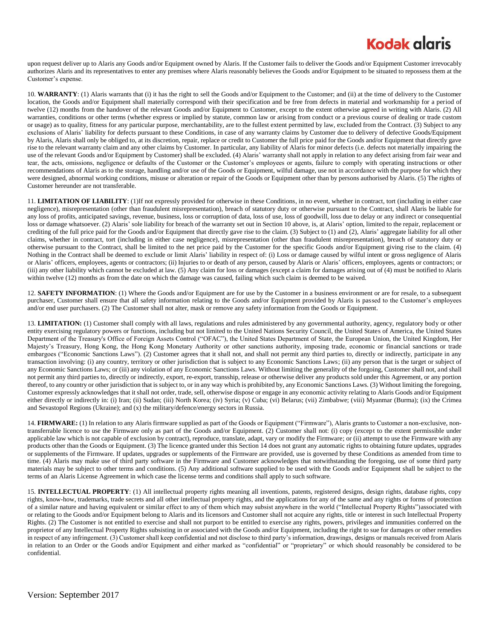## **Kodak glaris**

upon request deliver up to Alaris any Goods and/or Equipment owned by Alaris. If the Customer fails to deliver the Goods and/or Equipment Customer irrevocably authorizes Alaris and its representatives to enter any premises where Alaris reasonably believes the Goods and/or Equipment to be situated to repossess them at the Customer's expense.

10. **WARRANTY**: (1) Alaris warrants that (i) it has the right to sell the Goods and/or Equipment to the Customer; and (ii) at the time of delivery to the Customer location, the Goods and/or Equipment shall materially correspond with their specification and be free from defects in material and workmanship for a period of twelve (12) months from the handover of the relevant Goods and/or Equipment to Customer, except to the extent otherwise agreed in writing with Alaris. (2) All warranties, conditions or other terms (whether express or implied by statute, common law or arising from conduct or a previous course of dealing or trade custom or usage) as to quality, fitness for any particular purpose, merchantability, are to the fullest extent permitted by law, excluded from the Contract. (3) Subject to any exclusions of Alaris' liability for defects pursuant to these Conditions, in case of any warranty claims by Customer due to delivery of defective Goods/Equipment by Alaris, Alaris shall only be obliged to, at its discretion, repair, replace or credit to Customer the full price paid for the Goods and/or Equipment that directly gave rise to the relevant warranty claim and any other claims by Customer. In particular, any liability of Alaris for minor defects (i.e. defects not materially impairing the use of the relevant Goods and/or Equipment by Customer) shall be excluded. (4) Alaris' warranty shall not apply in relation to any defect arising from fair wear and tear, the acts, omissions, negligence or defaults of the Customer or the Customer's employees or agents, failure to comply with operating instructions or other recommendations of Alaris as to the storage, handling and/or use of the Goods or Equipment, wilful damage, use not in accordance with the purpose for which they were designed, abnormal working conditions, misuse or alteration or repair of the Goods or Equipment other than by persons authorised by Alaris. (5) The rights of Customer hereunder are not transferable.

11. **LIMITATION OF LIABILITY**: (1)If not expressly provided for otherwise in these Conditions, in no event, whether in contract, tort (including in either case negligence), misrepresentation (other than fraudulent misrepresentation), breach of statutory duty or otherwise pursuant to the Contract, shall Alaris be liable for any loss of profits, anticipated savings, revenue, business, loss or corruption of data, loss of use, loss of goodwill, loss due to delay or any indirect or consequential loss or damage whatsoever. (2) Alaris' sole liability for breach of the warranty set out in Section 10 above, is, at Alaris' option, limited to the repair, replacement or crediting of the full price paid for the Goods and/or Equipment that directly gave rise to the claim. (3) Subject to (1) and (2), Alaris' aggregate liability for all other claims, whether in contract, tort (including in either case negligence), misrepresentation (other than fraudulent misrepresentation), breach of statutory duty or otherwise pursuant to the Contract, shall be limited to the net price paid by the Customer for the specific Goods and/or Equipment giving rise to the claim. (4) Nothing in the Contract shall be deemed to exclude or limit Alaris' liability in respect of: (i) Loss or damage caused by wilful intent or gross negligence of Alaris or Alaris' officers, employees, agents or contractors; (ii) Injuries to or death of any person, caused by Alaris or Alaris' officers, employees, agents or contractors; or (iii) any other liability which cannot be excluded at law. (5) Any claim for loss or damages (except a claim for damages arising out of (4) must be notified to Alaris within twelve (12) months as from the date on which the damage was caused, failing which such claim is deemed to be waived.

12. **SAFETY INFORMATION**: (1) Where the Goods and/or Equipment are for use by the Customer in a business environment or are for resale, to a subsequent purchaser, Customer shall ensure that all safety information relating to the Goods and/or Equipment provided by Alaris is passed to the Customer's employees and/or end user purchasers. (2) The Customer shall not alter, mask or remove any safety information from the Goods or Equipment.

13. **LIMITATION:** (1) Customer shall comply with all laws, regulations and rules administered by any governmental authority, agency, regulatory body or other entity exercising regulatory powers or functions, including but not limited to the United Nations Security Council, the United States of America, the United States Department of the Treasury's Office of Foreign Assets Control ("OFAC"), the United States Department of State, the European Union, the United Kingdom, Her Majesty's Treasury, Hong Kong, the Hong Kong Monetary Authority or other sanctions authority, imposing trade, economic or financial sanctions or trade embargoes ("Economic Sanctions Laws"). (2) Customer agrees that it shall not, and shall not permit any third parties to, directly or indirectly, participate in any transaction involving: (i) any country, territory or other jurisdiction that is subject to any Economic Sanctions Laws; (ii) any person that is the target or subject of any Economic Sanctions Laws; or (iii) any violation of any Economic Sanctions Laws. Without limiting the generality of the forgoing, Customer shall not, and shall not permit any third parties to, directly or indirectly, export, re-export, transship, release or otherwise deliver any products sold under this Agreement, or any portion thereof, to any country or other jurisdiction that is subject to, or in any way which is prohibited by, any Economic Sanctions Laws. (3) Without limiting the foregoing, Customer expressly acknowledges that it shall not order, trade, sell, otherwise dispose or engage in any economic activity relating to Alaris Goods and/or Equipment either directly or indirectly in: (i) Iran; (ii) Sudan; (iii) North Korea; (iv) Syria; (v) Cuba; (vi) Belarus; (vii) Zimbabwe; (viii) Myanmar (Burma); (ix) the Crimea and Sevastopol Regions (Ukraine); and (x) the military/defence/energy sectors in Russia.

14. **FIRMWARE:** (1) In relation to any Alaris firmware supplied as part of the Goods or Equipment ("Firmware"), Alaris grants to Customer a non-exclusive, nontransferrable licence to use the Firmware only as part of the Goods and/or Equipment. (2) Customer shall not: (i) copy (except to the extent permissible under applicable law which is not capable of exclusion by contract), reproduce, translate, adapt, vary or modify the Firmware; or (ii) attempt to use the Firmware with any products other than the Goods or Equipment. (3) The licence granted under this Section 14 does not grant any automatic rights to obtaining future updates, upgrades or supplements of the Firmware. If updates, upgrades or supplements of the Firmware are provided, use is governed by these Conditions as amended from time to time. (4) Alaris may make use of third party software in the Firmware and Customer acknowledges that notwithstanding the foregoing, use of some third party materials may be subject to other terms and conditions. (5) Any additional software supplied to be used with the Goods and/or Equipment shall be subject to the terms of an Alaris License Agreement in which case the license terms and conditions shall apply to such software.

15. **INTELLECTUAL PROPERTY**: (1) All intellectual property rights meaning all inventions, patents, registered designs, design rights, database rights, copy rights, know-how, trademarks, trade secrets and all other intellectual property rights, and the applications for any of the same and any rights or forms of protection of a similar nature and having equivalent or similar effect to any of them which may subsist anywhere in the world ("Intellectual Property Rights")associated with or relating to the Goods and/or Equipment belong to Alaris and its licensors and Customer shall not acquire any rights, title or interest in such Intellectual Property Rights. (2) The Customer is not entitled to exercise and shall not purport to be entitled to exercise any rights, powers, privileges and immunities conferred on the proprietor of any Intellectual Property Rights subsisting in or associated with the Goods and/or Equipment, including the right to sue for damages or other remedies in respect of any infringement. (3) Customer shall keep confidential and not disclose to third party's information, drawings, designs or manuals received from Alaris in relation to an Order or the Goods and/or Equipment and either marked as "confidential" or "proprietary" or which should reasonably be considered to be confidential.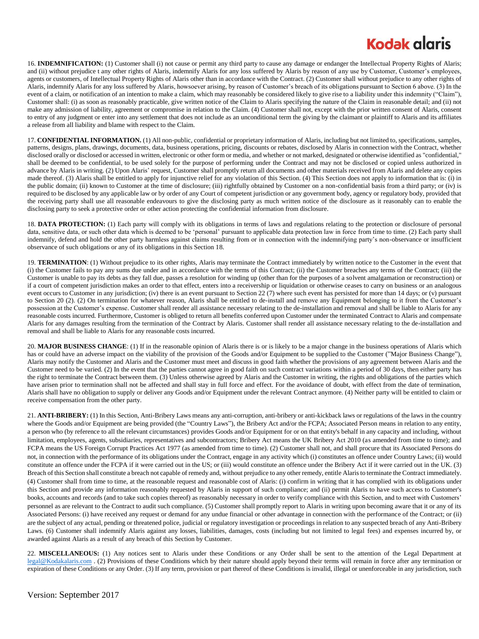## **Kodak glgris**

16. **INDEMNIFICATION:** (1) Customer shall (i) not cause or permit any third party to cause any damage or endanger the Intellectual Property Rights of Alaris; and (ii) without prejudice t any other rights of Alaris, indemnify Alaris for any loss suffered by Alaris by reason of any use by Customer, Customer's employees, agents or customers, of Intellectual Property Rights of Alaris other than in accordance with the Contract. (2) Customer shall without prejudice to any other rights of Alaris, indemnify Alaris for any loss suffered by Alaris, howsoever arising, by reason of Customer's breach of its obligations pursuant to Section 6 above. (3) In the event of a claim, or notification of an intention to make a claim, which may reasonably be considered likely to give rise to a liability under this indemnity ("Claim"), Customer shall: (i) as soon as reasonably practicable, give written notice of the Claim to Alaris specifying the nature of the Claim in reasonable detail; and (ii) not make any admission of liability, agreement or compromise in relation to the Claim. (4) Customer shall not, except with the prior written consent of Alaris, consent to entry of any judgment or enter into any settlement that does not include as an unconditional term the giving by the claimant or plaintiff to Alaris and its affiliates a release from all liability and blame with respect to the Claim.

17. **CONFIDENTIAL INFORMATION.** (1) All non-public, confidential or proprietary information of Alaris, including but not limited to, specifications, samples, patterns, designs, plans, drawings, documents, data, business operations, pricing, discounts or rebates, disclosed by Alaris in connection with the Contract, whether disclosed orally or disclosed or accessed in written, electronic or other form or media, and whether or not marked, designated or otherwise identified as "confidential," shall be deemed to be confidential, to be used solely for the purpose of performing under the Contract and may not be disclosed or copied unless authorized in advance by Alaris in writing. (2) Upon Alaris' request, Customer shall promptly return all documents and other materials received from Alaris and delete any copies made thereof. (3) Alaris shall be entitled to apply for injunctive relief for any violation of this Section. (4) This Section does not apply to information that is: (i) in the public domain; (ii) known to Customer at the time of disclosure; (iii) rightfully obtained by Customer on a non-confidential basis from a third party; or (iv) is required to be disclosed by any applicable law or by order of any Court of competent jurisdiction or any government body, agency or regulatory body, provided that the receiving party shall use all reasonable endeavours to give the disclosing party as much written notice of the disclosure as it reasonably can to enable the disclosing party to seek a protective order or other action protecting the confidential information from disclosure.

18. **DATA PROTECTION:** (1) Each party will comply with its obligations in terms of laws and regulations relating to the protection or disclosure of personal data, sensitive data, or such other data which is deemed to be 'personal' pursuant to applicable data protection law in force from time to time. (2) Each party shall indemnify, defend and hold the other party harmless against claims resulting from or in connection with the indemnifying party's non-observance or insufficient observance of such obligations or any of its obligations in this Section 18.

19. **TERMINATION**: (1) Without prejudice to its other rights, Alaris may terminate the Contract immediately by written notice to the Customer in the event that (i) the Customer fails to pay any sums due under and in accordance with the terms of this Contract; (ii) the Customer breaches any terms of the Contract; (iii) the Customer is unable to pay its debts as they fall due, passes a resolution for winding up (other than for the purposes of a solvent amalgamation or reconstruction) or if a court of competent jurisdiction makes an order to that effect, enters into a receivership or liquidation or otherwise ceases to carry on business or an analogous event occurs to Customer in any jurisdiction; (iv) there is an event pursuant to Section 22 (7) where such event has persisted for more than 14 days; or (v) pursuant to Section 20 (2). (2) On termination for whatever reason, Alaris shall be entitled to de-install and remove any Equipment belonging to it from the Customer's possession at the Customer's expense. Customer shall render all assistance necessary relating to the de-installation and removal and shall be liable to Alaris for any reasonable costs incurred. Furthermore, Customer is obliged to return all benefits conferred upon Customer under the terminated Contract to Alaris and compensate Alaris for any damages resulting from the termination of the Contract by Alaris. Customer shall render all assistance necessary relating to the de-installation and removal and shall be liable to Alaris for any reasonable costs incurred.

20. MAJOR BUSINESS CHANGE: (1) If in the reasonable opinion of Alaris there is or is likely to be a major change in the business operations of Alaris which has or could have an adverse impact on the viability of the provision of the Goods and/or Equipment to be supplied to the Customer ("Major Business Change"), Alaris may notify the Customer and Alaris and the Customer must meet and discuss in good faith whether the provisions of any agreement between Alaris and the Customer need to be varied. (2) In the event that the parties cannot agree in good faith on such contract variations within a period of 30 days, then either party has the right to terminate the Contract between them. (3) Unless otherwise agreed by Alaris and the Customer in writing, the rights and obligations of the parties which have arisen prior to termination shall not be affected and shall stay in full force and effect. For the avoidance of doubt, with effect from the date of termination, Alaris shall have no obligation to supply or deliver any Goods and/or Equipment under the relevant Contract anymore. (4) Neither party will be entitled to claim or receive compensation from the other party.

21. **ANTI-BRIBERY:** (1) In this Section, Anti-Bribery Laws means any anti-corruption, anti-bribery or anti-kickback laws or regulations of the laws in the country where the Goods and/or Equipment are being provided (the "Country Laws"), the Bribery Act and/or the FCPA; Associated Person means in relation to any entity, a person who (by reference to all the relevant circumstances) provides Goods and/or Equipment for or on that entity's behalf in any capacity and including, without limitation, employees, agents, subsidiaries, representatives and subcontractors; Bribery Act means the UK Bribery Act 2010 (as amended from time to time); and FCPA means the US Foreign Corrupt Practices Act 1977 (as amended from time to time). (2) Customer shall not, and shall procure that its Associated Persons do not, in connection with the performance of its obligations under the Contract, engage in any activity which (i) constitutes an offence under Country Laws; (ii) would constitute an offence under the FCPA if it were carried out in the US; or (iii) would constitute an offence under the Bribery Act if it were carried out in the UK. (3) Breach of this Section shall constitute a breach not capable of remedy and, without prejudice to any other remedy, entitle Alaris to terminate the Contract immediately. (4) Customer shall from time to time, at the reasonable request and reasonable cost of Alaris: (i) confirm in writing that it has complied with its obligations under this Section and provide any information reasonably requested by Alaris in support of such compliance; and (ii) permit Alaris to have such access to Customer's books, accounts and records (and to take such copies thereof) as reasonably necessary in order to verify compliance with this Section, and to meet with Customers' personnel as are relevant to the Contract to audit such compliance. (5) Customer shall promptly report to Alaris in writing upon becoming aware that it or any of its Associated Persons: (i) have received any request or demand for any undue financial or other advantage in connection with the performance of the Contract; or (ii) are the subject of any actual, pending or threatened police, judicial or regulatory investigation or proceedings in relation to any suspected breach of any Anti-Bribery Laws. (6) Customer shall indemnify Alaris against any losses, liabilities, damages, costs (including but not limited to legal fees) and expenses incurred by, or awarded against Alaris as a result of any breach of this Section by Customer.

22. **MISCELLANEOUS:** (1) Any notices sent to Alaris under these Conditions or any Order shall be sent to the attention of the Legal Department at [legal@Kodakalaris.com](mailto:legal@Kodakalaris.com) . (2) Provisions of these Conditions which by their nature should apply beyond their terms will remain in force after any termination or expiration of these Conditions or any Order. (3) If any term, provision or part thereof of these Conditions is invalid, illegal or unenforceable in any jurisdiction, such